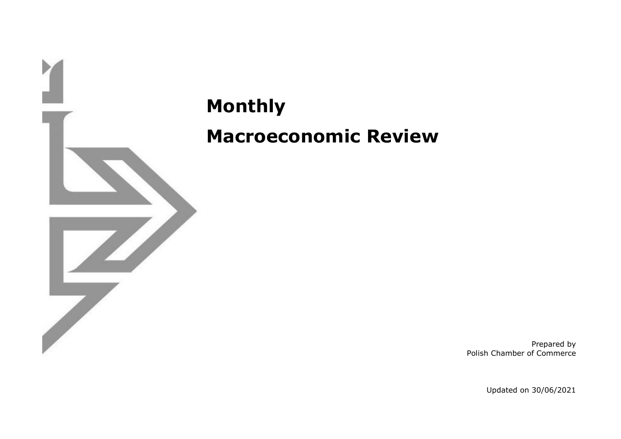

**Monthly Macroeconomic Review**

> Prepared by Polish Chamber of Commerce

> > Updated on 30/06/2021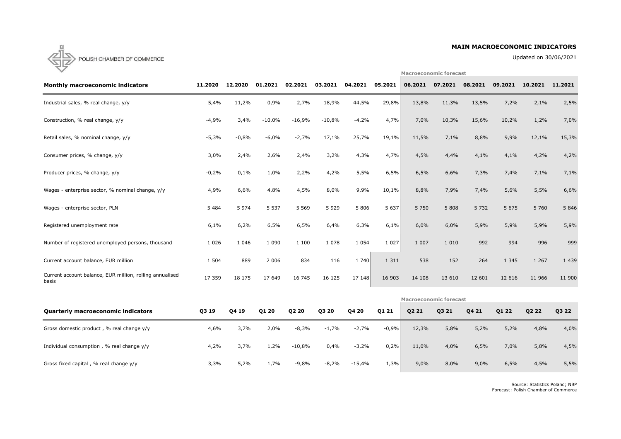# **MAIN MACROECONOMIC INDICATORS**

Updated on 30/06/2021

**Macroeconomic forecast**



| <b>Monthly macroeconomic indicators</b>                           | 11.2020 | 12.2020     | 01.2021  | 02.2021  | 03.2021  | 04.2021 | 05.2021 | 06.2021                       | 07.2021 | 08.2021 | 09.2021 | 10.2021 | 11.2021 |
|-------------------------------------------------------------------|---------|-------------|----------|----------|----------|---------|---------|-------------------------------|---------|---------|---------|---------|---------|
| Industrial sales, % real change, y/y                              | 5,4%    | 11,2%       | 0,9%     | 2,7%     | 18,9%    | 44,5%   | 29,8%   | 13,8%                         | 11,3%   | 13,5%   | 7,2%    | 2,1%    | 2,5%    |
| Construction, % real change, y/y                                  | $-4,9%$ | 3,4%        | $-10,0%$ | $-16,9%$ | $-10,8%$ | $-4,2%$ | 4,7%    | 7,0%                          | 10,3%   | 15,6%   | 10,2%   | 1,2%    | 7,0%    |
| Retail sales, % nominal change, y/y                               | $-5,3%$ | $-0,8%$     | $-6,0%$  | $-2,7%$  | 17,1%    | 25,7%   | 19,1%   | 11,5%                         | 7,1%    | 8,8%    | 9,9%    | 12,1%   | 15,3%   |
| Consumer prices, % change, y/y                                    | 3,0%    | 2,4%        | 2,6%     | 2,4%     | 3,2%     | 4,3%    | 4,7%    | 4,5%                          | 4,4%    | 4,1%    | 4,1%    | 4,2%    | 4,2%    |
| Producer prices, % change, y/y                                    | $-0,2%$ | 0,1%        | 1,0%     | 2,2%     | 4,2%     | 5,5%    | 6,5%    | 6,5%                          | 6,6%    | 7,3%    | 7,4%    | 7,1%    | 7,1%    |
| Wages - enterprise sector, % nominal change, y/y                  | 4,9%    | 6,6%        | 4,8%     | 4,5%     | 8,0%     | 9,9%    | 10,1%   | 8,8%                          | 7,9%    | 7,4%    | 5,6%    | 5,5%    | 6,6%    |
| Wages - enterprise sector, PLN                                    | 5 4 8 4 | 5 9 7 4     | 5 5 3 7  | 5 5 6 9  | 5 9 2 9  | 5 8 0 6 | 5 6 3 7 | 5 7 5 0                       | 5 8 0 8 | 5 7 3 2 | 5 6 7 5 | 5 7 6 0 | 5 8 4 6 |
| Registered unemployment rate                                      | 6,1%    | 6,2%        | 6,5%     | 6,5%     | 6,4%     | 6,3%    | 6,1%    | 6,0%                          | 6,0%    | 5,9%    | 5,9%    | 5,9%    | 5,9%    |
| Number of registered unemployed persons, thousand                 | 1 0 2 6 | 1 0 4 6     | 1 0 9 0  | 1 100    | 1 0 7 8  | 1 0 5 4 | 1 0 2 7 | 1 0 0 7                       | 1 0 1 0 | 992     | 994     | 996     | 999     |
| Current account balance, EUR million                              | 1 5 0 4 | 889         | 2 0 0 6  | 834      | 116      | 1 740   | 1 3 1 1 | 538                           | 152     | 264     | 1 3 4 5 | 1 2 6 7 | 1 4 3 9 |
| Current account balance, EUR million, rolling annualised<br>basis | 17 359  | 18 175      | 17 649   | 16 745   | 16 125   | 17 148  | 16 903  | 14 108                        | 13 6 10 | 12 601  | 12 6 16 | 11 966  | 11 900  |
|                                                                   |         |             |          |          |          |         |         | <b>Macroeconomic forecast</b> |         |         |         |         |         |
| <b>Quarterly macroeconomic indicators</b>                         | Q3 19   | <b>0419</b> | Q1 20    | Q2 20    | Q3 20    | Q4 20   | Q1 21   | Q2 21                         | Q3 21   | Q4 21   | Q1 22   | Q2 22   | Q3 22   |

| <b>Quarterly macroeconomic indicators</b>   | Q3 19 | Q4 19 | Q1 20 | Q2 20    | Q3 20   | Q4 20    | Q1 21   | Q2 21 | Q3 21 | Q4 21 | Q1 22 | Q2 22 | Q3 22 |
|---------------------------------------------|-------|-------|-------|----------|---------|----------|---------|-------|-------|-------|-------|-------|-------|
| Gross domestic product, % real change y/y   | 4,6%  | 3,7%  | 2,0%  | $-8,3%$  | $-1,7%$ | $-2,7%$  | $-0,9%$ | 12,3% | 5,8%  | 5,2%  | 5,2%  | 4,8%  | 4,0%  |
| Individual consumption, % real change $y/y$ | 4,2%  | 3,7%  | 1,2%  | $-10,8%$ | 0,4%    | $-3,2%$  | 0,2%    | 11,0% | 4,0%  | 6,5%  | 7,0%  | 5,8%  | 4,5%  |
| Gross fixed capital, % real change y/y      | 3,3%  | 5,2%  | 1,7%  | $-9,8%$  | $-8,2%$ | $-15,4%$ | 1,3%    | 9,0%  | 8,0%  | 9,0%  | 6,5%  | 4,5%  | 5,5%  |

Source: Statistics Poland; NBP Forecast: Polish Chamber of Commerce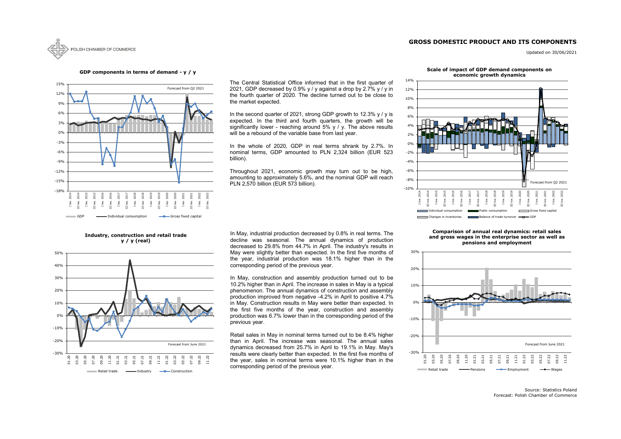# **GROSS DOMESTIC PRODUCT AND ITS COMPONENTS**



Updated on 30/06/2021

Source: Statistics Poland Forecast: Polish Chamber of Commerce



### **GDP components in terms of demand - y / y**

**Industry, construction and retail trade y / y (real)**







Throughout 2021, economic growth may turn out to be high, amounting to approximately 5.6%, and the nominal GDP will reach PLN 2,570 billion (EUR 573 billion).

#### **Scale of impact of GDP demand components on economic growth dynamics**

In May, industrial production decreased by 0.8% in real terms. The decline was seasonal. The annual dynamics of production decreased to 29.8% from 44.7% in April. The industry's results in May were slightly better than expected. In the first five months of the year, industrial production was 18.1% higher than in the corresponding period of the previous year.



### **Comparison of annual real dynamics: retail sales and gross wages in the enterprise sector as well as pensions and employment**

The Central Statistical Office informed that in the first quarter of 2021, GDP decreased by 0.9% y / y against a drop by 2.7% y / y in the fourth quarter of 2020. The decline turned out to be close to the market expected.

In the second quarter of 2021, strong GDP growth to 12.3%  $y / y$  is expected. In the third and fourth quarters, the growth will be significantly lower - reaching around  $5\%$  y / y. The above results will be a rebound of the variable base from last year.

In the whole of 2020, GDP in real terms shrank by 2.7%. In nominal terms, GDP amounted to PLN 2,324 billion (EUR 523 billion).

In May, construction and assembly production turned out to be 10.2% higher than in April. The increase in sales in May is a typical phenomenon. The annual dynamics of construction and assembly production improved from negative -4.2% in April to positive 4.7% in May. Construction results in May were better than expected. In the first five months of the year, construction and assembly production was 6.7% lower than in the corresponding period of the previous year.

Retail sales in May in nominal terms turned out to be 8.4% higher than in April. The increase was seasonal. The annual sales dynamics decreased from 25.7% in April to 19.1% in May. May's results were clearly better than expected. In the first five months of the year, sales in nominal terms were 10.1% higher than in the corresponding period of the previous year.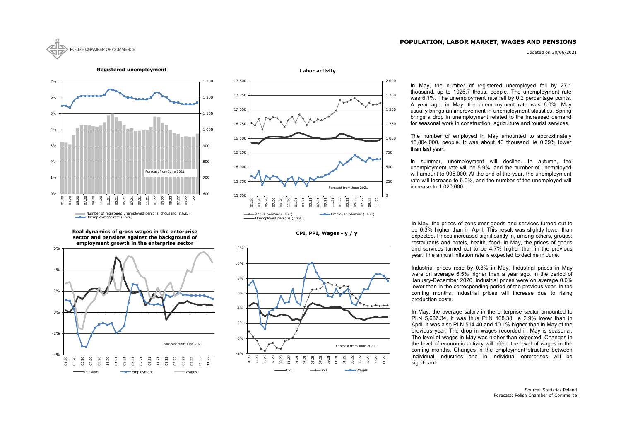## **POPULATION, LABOR MARKET, WAGES AND PENSIONS**

Updated on 30/06/2021



**CPI, PPI, Wages - y / y**





**Registered unemployment**







In May, the prices of consumer goods and services turned out to be 0.3% higher than in April. This result was slightly lower than expected. Prices increased significantly in, among others, groups: restaurants and hotels, health, food. In May, the prices of goods and services turned out to be 4.7% higher than in the previous year. The annual inflation rate is expected to decline in June.

Industrial prices rose by 0.8% in May. Industrial prices in May were on average 6.5% higher than a year ago. In the period of January-December 2020, industrial prices were on average 0.6% lower than in the corresponding period of the previous year. In the coming months, industrial prices will increase due to rising production costs.

In May, the average salary in the enterprise sector amounted to PLN 5,637.34. It was thus PLN 168.38, ie 2.9% lower than in April. It was also PLN 514.40 and 10.1% higher than in May of the previous year. The drop in wages recorded in May is seasonal. The level of wages in May was higher than expected. Changes in the level of economic activity will affect the level of wages in the coming months. Changes in the employment structure between individual industries and in individual enterprises will be significant.

In May, the number of registered unemployed fell by 27.1 thousand. up to 1026.7 thous. people. The unemployment rate was 6.1%. The unemployment rate fell by 0.2 percentage points. A year ago, in May, the unemployment rate was 6.0%. May usually brings an improvement in unemployment statistics. Spring brings a drop in unemployment related to the increased demand for seasonal work in construction, agriculture and tourist services.

The number of employed in May amounted to approximately 15,804,000. people. It was about 46 thousand. ie 0.29% lower than last year.

In summer, unemployment will decline. In autumn, the unemployment rate will be 5.9%, and the number of unemployed will amount to 995,000. At the end of the year, the unemployment rate will increase to 6.0%, and the number of the unemployed will increase to 1,020,000.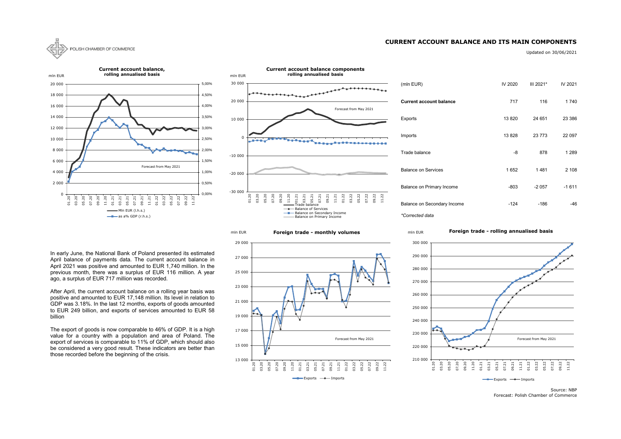## **CURRENT ACCOUNT BALANCE AND ITS MAIN COMPONENTS**



Updated on 30/06/2021

| (mln EUR)                      | IV 2020 | $III$ 2021* | IV 2021 |
|--------------------------------|---------|-------------|---------|
| <b>Current account balance</b> | 717     | 116         | 1740    |
| Exports                        | 13820   | 24 651      | 23 386  |
| Imports                        | 13828   | 23 7 7 3    | 22 097  |
| Trade balance                  | -8      | 878         | 1 2 8 9 |
| <b>Balance on Services</b>     | 1652    | 1481        | 2 108   |
| Balance on Primary Income      | $-803$  | $-2057$     | $-1611$ |
| Balance on Secondary Income    | -124    | -186        | -46     |

Source: NBP Forecast: Polish Chamber of Commerce









In early June, the National Bank of Poland presented its estimated April balance of payments data. The current account balance in April 2021 was positive and amounted to EUR 1,740 million. In the previous month, there was a surplus of EUR 116 million. A year ago, a surplus of EUR 717 million was recorded.

After April, the current account balance on a rolling year basis was positive and amounted to EUR 17,148 million. Its level in relation to GDP was 3.18%. In the last 12 months, exports of goods amounted to EUR 249 billion, and exports of services amounted to EUR 58 billion

The export of goods is now comparable to 46% of GDP. It is a high value for a country with a population and area of Poland. The export of services is comparable to 11% of GDP, which should also be considered a very good result. These indicators are better than those recorded before the beginning of the crisis.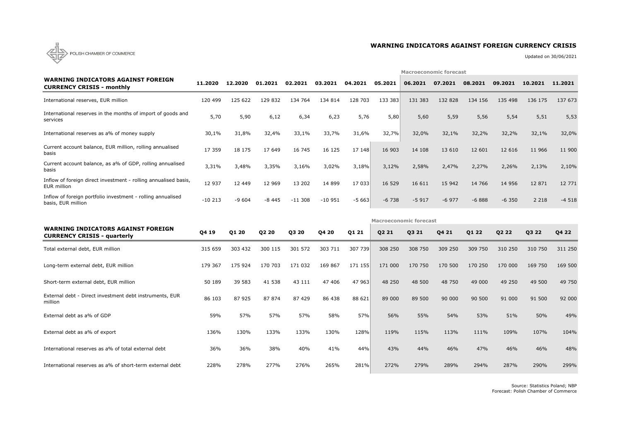

# **WARNING INDICATORS AGAINST FOREIGN CURRENCY CRISIS**

Updated on 30/06/2021

|                                                                                   |          |         |         |          |          |         |         | <b>Macroeconomic forecast</b> |         |         |         |         |         |
|-----------------------------------------------------------------------------------|----------|---------|---------|----------|----------|---------|---------|-------------------------------|---------|---------|---------|---------|---------|
| <b>WARNING INDICATORS AGAINST FOREIGN</b><br><b>CURRENCY CRISIS - monthly</b>     | 11,2020  | 12.2020 | 01.2021 | 02.2021  | 03.2021  | 04.2021 | 05.2021 | 06.2021                       | 07.2021 | 08.2021 | 09.2021 | 10.2021 | 11,2021 |
| International reserves, EUR million                                               | 120 499  | 125 622 | 129 832 | 134 764  | 134 814  | 128 703 | 133 383 | 131 383                       | 132 828 | 134 156 | 135 498 | 136 175 | 137 673 |
| International reserves in the months of import of goods and<br>services           | 5,70     | 5,90    | 6,12    | 6,34     | 6,23     | 5,76    | 5,80    | 5,60                          | 5,59    | 5,56    | 5,54    | 5,51    | 5,53    |
| International reserves as a% of money supply                                      | 30,1%    | 31,8%   | 32,4%   | 33,1%    | 33,7%    | 31,6%   | 32,7%   | 32,0%                         | 32,1%   | 32,2%   | 32,2%   | 32,1%   | 32,0%   |
| Current account balance, EUR million, rolling annualised<br>basis                 | 17 359   | 18 175  | 17 649  | 16 745   | 16 125   | 17 148  | 16 903  | 14 108                        | 13 610  | 12 601  | 12 6 16 | 11 966  | 11 900  |
| Current account balance, as a% of GDP, rolling annualised<br>basis                | 3,31%    | 3,48%   | 3,35%   | 3,16%    | 3,02%    | 3,18%   | 3,12%   | 2,58%                         | 2,47%   | 2,27%   | 2,26%   | 2,13%   | 2,10%   |
| Inflow of foreign direct investment - rolling annualised basis,<br>EUR million    | 12 937   | 12 449  | 12 9 69 | 13 202   | 14 8 99  | 17 033  | 16 5 29 | 16 611                        | 15 942  | 14 766  | 14 9 56 | 12 871  | 12 771  |
| Inflow of foreign portfolio investment - rolling annualised<br>basis, EUR million | $-10213$ | $-9604$ | $-8445$ | $-11308$ | $-10951$ | $-5663$ | $-6738$ | $-5917$                       | $-6977$ | $-6888$ | $-6350$ | 2 2 1 8 | $-4518$ |
|                                                                                   |          |         |         |          |          |         |         | <b>Macroeconomic forecast</b> |         |         |         |         |         |
| <b>WARNING INDICATORS AGAINST FOREIGN</b>                                         |          |         |         |          |          |         |         |                               |         |         |         |         |         |
| <b>CURRENCY CRISIS - quarterly</b>                                                | Q4 19    | Q1 20   | Q2 20   | Q3 20    | Q4 20    | Q1 21   | Q2 21   | Q3 21                         | Q4 21   | Q1 22   | Q2 22   | Q3 22   | Q4 22   |
| Total external debt, EUR million                                                  | 315 659  | 303 432 | 300 115 | 301 572  | 303 711  | 307 739 | 308 250 | 308 750                       | 309 250 | 309 750 | 310 250 | 310 750 | 311 250 |
| Long-term external debt, EUR million                                              | 179 367  | 175 924 | 170 703 | 171 032  | 169 867  | 171 155 | 171 000 | 170 750                       | 170 500 | 170 250 | 170 000 | 169 750 | 169 500 |
| Short-term external debt, EUR million                                             | 50 189   | 39 583  | 41 538  | 43 111   | 47 406   | 47 963  | 48 250  | 48 500                        | 48 750  | 49 000  | 49 250  | 49 500  | 49 750  |
| External debt - Direct investment debt instruments, EUR<br>million                | 86 103   | 87 925  | 87 874  | 87 429   | 86 438   | 88 621  | 89 000  | 89 500                        | 90 000  | 90 500  | 91 000  | 91 500  | 92 000  |
| External debt as a% of GDP                                                        | 59%      | 57%     | 57%     | 57%      | 58%      | 57%     | 56%     | 55%                           | 54%     | 53%     | 51%     | 50%     | 49%     |
| External debt as a% of export                                                     | 136%     | 130%    | 133%    | 133%     | 130%     | 128%    | 119%    | 115%                          | 113%    | 111%    | 109%    | 107%    | 104%    |
| International reserves as a% of total external debt                               | 36%      | 36%     | 38%     | 40%      | 41%      | 44%     | 43%     | 44%                           | 46%     | 47%     | 46%     | 46%     | 48%     |

Source: Statistics Poland; NBP Forecast: Polish Chamber of Commerce